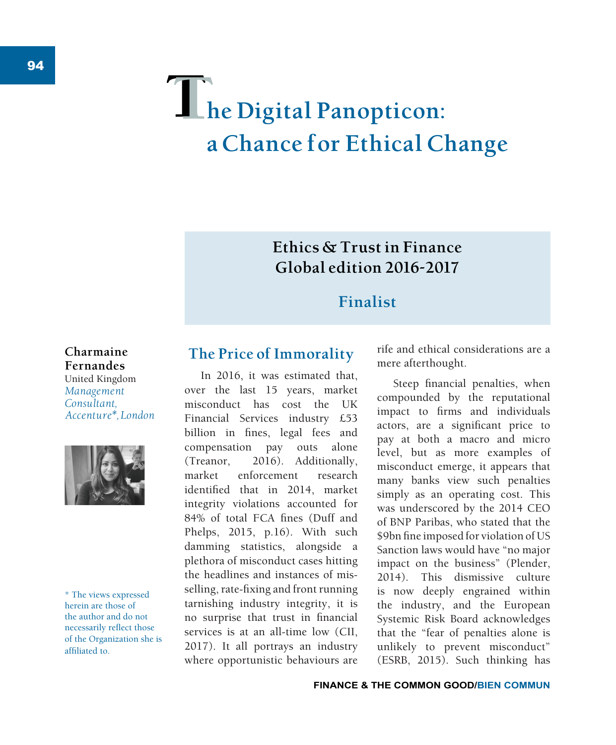# $\Gamma$ **he Digital Panopticon: a Chance for Ethical Change**

## **Ethics & Trust in Finance Global edition 2016-2017**

## **Finalist**

**Charmaine Fernandes** United Kingdom *Management Consultant, Accenture\*, London*



\* The views expressed herein are those of the author and do not necessarily reflect those of the Organization she is affiliated to.

### **The Price of Immorality**

In 2016, it was estimated that, over the last 15 years, market misconduct has cost the UK Financial Services industry £53 billion in fines, legal fees and compensation pay outs alone (Treanor, 2016). Additionally, market enforcement research identified that in 2014, market integrity violations accounted for 84% of total FCA fines (Duff and Phelps, 2015, p.16). With such damming statistics, alongside a plethora of misconduct cases hitting the headlines and instances of misselling, rate-fixing and front running tarnishing industry integrity, it is no surprise that trust in financial services is at an all-time low (CII, 2017). It all portrays an industry where opportunistic behaviours are

rife and ethical considerations are a mere afterthought.

Steep financial penalties, when compounded by the reputational impact to firms and individuals actors, are a significant price to pay at both a macro and micro level, but as more examples of misconduct emerge, it appears that many banks view such penalties simply as an operating cost. This was underscored by the 2014 CEO of BNP Paribas, who stated that the \$9bn fine imposed for violation of US Sanction laws would have "no major impact on the business" (Plender, 2014). This dismissive culture is now deeply engrained within the industry, and the European Systemic Risk Board acknowledges that the "fear of penalties alone is unlikely to prevent misconduct" (ESRB, 2015). Such thinking has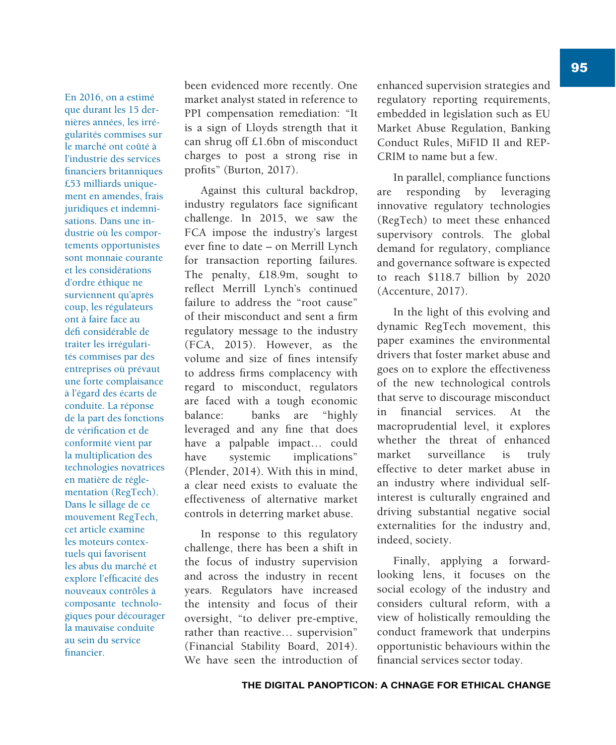En 2016, on a estimé que durant les 15 dernières années, les irrégularités commises sur le marché ont coûté à l'industrie des services financiers britanniques £53 milliards uniquement en amendes, frais juridiques et indemnisations. Dans une industrie où les comportements opportunistes sont monnaie courante et les considérations d'ordre éthique ne surviennent qu'après coup, les régulateurs ont à faire face au défi considérable de traiter les irrégularités commises par des entreprises où prévaut une forte complaisance à l'égard des écarts de conduite. La réponse de la part des fonctions de vérification et de conformité vient par la multiplication des technologies novatrices en matière de réglementation (RegTech). Dans le sillage de ce mouvement RegTech, cet article examine les moteurs contextuels qui favorisent les abus du marché et explore l'efficacité des nouveaux contrôles à composante technologiques pour décourager la mauvaise conduite au sein du service financier.

been evidenced more recently. One market analyst stated in reference to PPI compensation remediation: "It is a sign of Lloyds strength that it can shrug off £1.6bn of misconduct charges to post a strong rise in profits" (Burton, 2017).

Against this cultural backdrop, industry regulators face significant challenge. In 2015, we saw the FCA impose the industry's largest ever fine to date - on Merrill Lynch for transaction reporting failures. The penalty, £18.9m, sought to reflect Merrill Lynch's continued failure to address the "root cause" of their misconduct and sent a firm regulatory message to the industry (FCA, 2015). However, as the volume and size of fines intensify to address firms complacency with regard to misconduct, regulators are faced with a tough economic balance: banks are "highly leveraged and any fine that does have a palpable impact… could have systemic implications" (Plender, 2014). With this in mind, a clear need exists to evaluate the effectiveness of alternative market controls in deterring market abuse.

In response to this regulatory challenge, there has been a shift in the focus of industry supervision and across the industry in recent years. Regulators have increased the intensity and focus of their oversight, "to deliver pre-emptive, rather than reactive… supervision" (Financial Stability Board, 2014). We have seen the introduction of enhanced supervision strategies and regulatory reporting requirements, embedded in legislation such as EU Market Abuse Regulation, Banking Conduct Rules, MiFID II and REP-CRIM to name but a few.

In parallel, compliance functions are responding by leveraging innovative regulatory technologies (RegTech) to meet these enhanced supervisory controls. The global demand for regulatory, compliance and governance software is expected to reach \$118.7 billion by 2020 (Accenture, 2017).

In the light of this evolving and dynamic RegTech movement, this paper examines the environmental drivers that foster market abuse and goes on to explore the effectiveness of the new technological controls that serve to discourage misconduct in financial services. At the macroprudential level, it explores whether the threat of enhanced market surveillance is truly effective to deter market abuse in an industry where individual selfinterest is culturally engrained and driving substantial negative social externalities for the industry and, indeed, society.

Finally, applying a forwardlooking lens, it focuses on the social ecology of the industry and considers cultural reform, with a view of holistically remoulding the conduct framework that underpins opportunistic behaviours within the financial services sector today.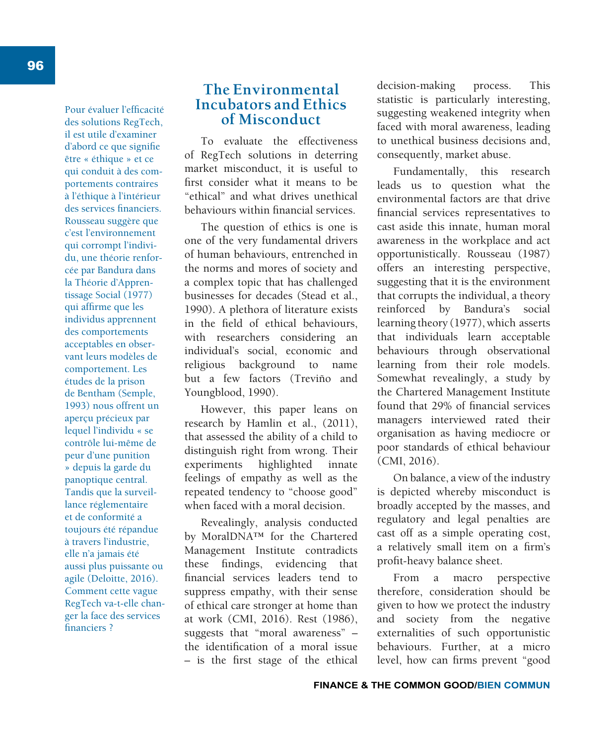Pour évaluer l'efficacité des solutions RegTech, il est utile d'examiner d'abord ce que signifie être « éthique » et ce qui conduit à des comportements contraires à l'éthique à l'intérieur des services financiers. Rousseau suggère que c'est l'environnement qui corrompt l'individu, une théorie renforcée par Bandura dans la Théorie d'Apprentissage Social (1977) qui affirme que les individus apprennent des comportements acceptables en observant leurs modèles de comportement. Les études de la prison de Bentham (Semple, 1993) nous offrent un aperçu précieux par lequel l'individu « se contrôle lui-même de peur d'une punition » depuis la garde du panoptique central. Tandis que la surveillance réglementaire et de conformité a toujours été répandue à travers l'industrie, elle n'a jamais été aussi plus puissante ou agile (Deloitte, 2016). Comment cette vague RegTech va-t-elle changer la face des services financiers ?

#### **The Environmental Incubators and Ethics of Misconduct**

To evaluate the effectiveness of RegTech solutions in deterring market misconduct, it is useful to first consider what it means to be "ethical" and what drives unethical behaviours within financial services

The question of ethics is one is one of the very fundamental drivers of human behaviours, entrenched in the norms and mores of society and a complex topic that has challenged businesses for decades (Stead et al., 1990). A plethora of literature exists in the field of ethical behaviours, with researchers considering an individual's social, economic and religious background to name but a few factors (Treviño and Youngblood, 1990).

However, this paper leans on research by Hamlin et al., (2011), that assessed the ability of a child to distinguish right from wrong. Their experiments highlighted innate feelings of empathy as well as the repeated tendency to "choose good" when faced with a moral decision.

Revealingly, analysis conducted by MoralDNA™ for the Chartered Management Institute contradicts these findings, evidencing that financial services leaders tend to suppress empathy, with their sense of ethical care stronger at home than at work (CMI, 2016). Rest (1986), suggests that "moral awareness" – the identification of a moral issue  $-$  is the first stage of the ethical decision-making process. This statistic is particularly interesting, suggesting weakened integrity when faced with moral awareness, leading to unethical business decisions and, consequently, market abuse.

Fundamentally, this research leads us to question what the environmental factors are that drive financial services representatives to cast aside this innate, human moral awareness in the workplace and act opportunistically. Rousseau (1987) offers an interesting perspective, suggesting that it is the environment that corrupts the individual, a theory reinforced by Bandura's social learning theory (1977), which asserts that individuals learn acceptable behaviours through observational learning from their role models. Somewhat revealingly, a study by the Chartered Management Institute found that 29% of financial services managers interviewed rated their organisation as having mediocre or poor standards of ethical behaviour (CMI, 2016).

On balance, a view of the industry is depicted whereby misconduct is broadly accepted by the masses, and regulatory and legal penalties are cast off as a simple operating cost, a relatively small item on a firm's profit-heavy balance sheet.

From a macro perspective therefore, consideration should be given to how we protect the industry and society from the negative externalities of such opportunistic behaviours. Further, at a micro level, how can firms prevent "good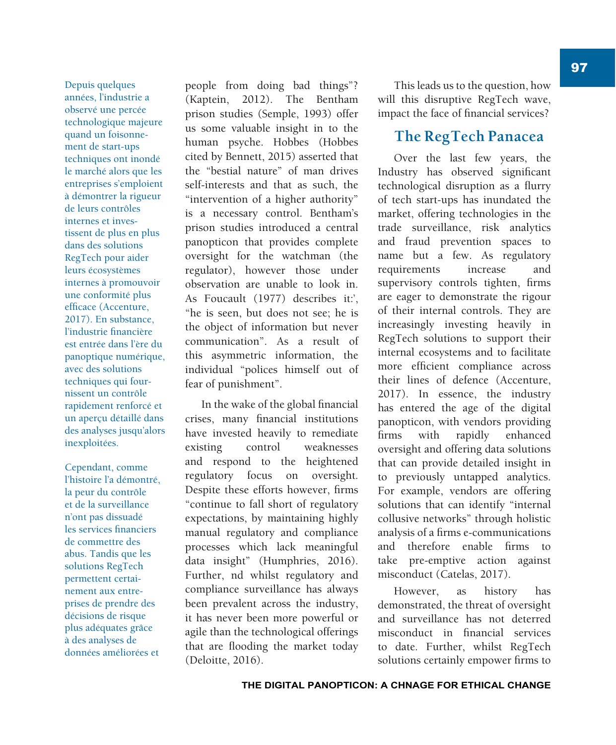Depuis quelques années, l'industrie a observé une percée technologique majeure quand un foisonnement de start-ups techniques ont inondé le marché alors que les entreprises s'emploient à démontrer la rigueur de leurs contrôles internes et investissent de plus en plus dans des solutions RegTech pour aider leurs écosystèmes internes à promouvoir une conformité plus efficace (Accenture, 2017). En substance, l'industrie financière est entrée dans l'ère du panoptique numérique, avec des solutions techniques qui fournissent un contrôle rapidement renforcé et un aperçu détaillé dans des analyses jusqu'alors inexploitées.

Cependant, comme l'histoire l'a démontré, la peur du contrôle et de la surveillance n'ont pas dissuadé les services financiers de commettre des abus. Tandis que les solutions RegTech permettent certainement aux entreprises de prendre des décisions de risque plus adéquates grâce à des analyses de données améliorées et

people from doing bad things"? (Kaptein, 2012). The Bentham prison studies (Semple, 1993) offer us some valuable insight in to the human psyche. Hobbes (Hobbes cited by Bennett, 2015) asserted that the "bestial nature" of man drives self-interests and that as such, the "intervention of a higher authority" is a necessary control. Bentham's prison studies introduced a central panopticon that provides complete oversight for the watchman (the regulator), however those under observation are unable to look in. As Foucault (1977) describes it:', "he is seen, but does not see; he is the object of information but never communication". As a result of this asymmetric information, the individual "polices himself out of fear of punishment".

In the wake of the global financial crises, many financial institutions have invested heavily to remediate existing control weaknesses and respond to the heightened regulatory focus on oversight. Despite these efforts however, firms "continue to fall short of regulatory expectations, by maintaining highly manual regulatory and compliance processes which lack meaningful data insight" (Humphries, 2016). Further, nd whilst regulatory and compliance surveillance has always been prevalent across the industry, it has never been more powerful or agile than the technological offerings that are flooding the market today (Deloitte, 2016).

This leads us to the question, how will this disruptive RegTech wave, impact the face of financial services?

#### **The RegTech Panacea**

Over the last few years, the Industry has observed significant technological disruption as a flurry of tech start-ups has inundated the market, offering technologies in the trade surveillance, risk analytics and fraud prevention spaces to name but a few. As regulatory requirements increase and supervisory controls tighten, firms are eager to demonstrate the rigour of their internal controls. They are increasingly investing heavily in RegTech solutions to support their internal ecosystems and to facilitate more efficient compliance across their lines of defence (Accenture, 2017). In essence, the industry has entered the age of the digital panopticon, with vendors providing firms with rapidly enhanced oversight and offering data solutions that can provide detailed insight in to previously untapped analytics. For example, vendors are offering solutions that can identify "internal collusive networks" through holistic analysis of a firms e-communications and therefore enable firms to take pre-emptive action against misconduct (Catelas, 2017).

However, as history has demonstrated, the threat of oversight and surveillance has not deterred misconduct in financial services to date. Further, whilst RegTech solutions certainly empower firms to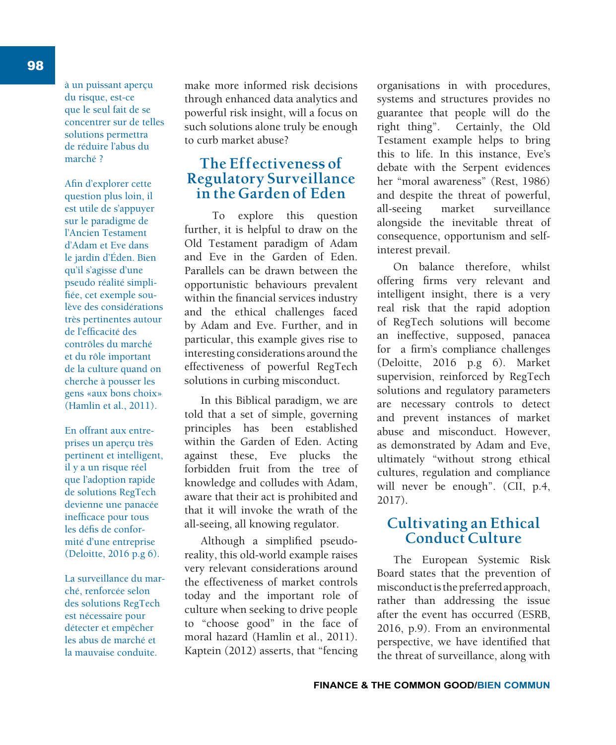98

à un puissant aperçu du risque, est-ce que le seul fait de se concentrer sur de telles solutions permettra de réduire l'abus du marché ?

Afin d'explorer cette question plus loin, il est utile de s'appuyer sur le paradigme de l'Ancien Testament d'Adam et Eve dans le jardin d'Éden. Bien qu'il s'agisse d'une pseudo réalité simplifiée, cet exemple soulève des considérations très pertinentes autour de l'efficacité des contrôles du marché et du rôle important de la culture quand on cherche à pousser les gens «aux bons choix» (Hamlin et al., 2011).

En offrant aux entreprises un aperçu très pertinent et intelligent, il y a un risque réel que l'adoption rapide de solutions RegTech devienne une panacée inefficace pour tous les défis de conformité d'une entreprise (Deloitte, 2016 p.g 6).

La surveillance du marché, renforcée selon des solutions RegTech est nécessaire pour détecter et empêcher les abus de marché et la mauvaise conduite.

make more informed risk decisions through enhanced data analytics and powerful risk insight, will a focus on such solutions alone truly be enough to curb market abuse?

#### **The Effectiveness of Regulatory Surveillance in the Garden of Eden**

To explore this question further, it is helpful to draw on the Old Testament paradigm of Adam and Eve in the Garden of Eden. Parallels can be drawn between the opportunistic behaviours prevalent within the financial services industry and the ethical challenges faced by Adam and Eve. Further, and in particular, this example gives rise to interesting considerations around the effectiveness of powerful RegTech solutions in curbing misconduct.

In this Biblical paradigm, we are told that a set of simple, governing principles has been established within the Garden of Eden. Acting against these, Eve plucks the forbidden fruit from the tree of knowledge and colludes with Adam, aware that their act is prohibited and that it will invoke the wrath of the all-seeing, all knowing regulator.

Although a simplified pseudoreality, this old-world example raises very relevant considerations around the effectiveness of market controls today and the important role of culture when seeking to drive people to "choose good" in the face of moral hazard (Hamlin et al., 2011). Kaptein (2012) asserts, that "fencing organisations in with procedures, systems and structures provides no guarantee that people will do the right thing". Certainly, the Old Testament example helps to bring this to life. In this instance, Eve's debate with the Serpent evidences her "moral awareness" (Rest, 1986) and despite the threat of powerful, all-seeing market surveillance alongside the inevitable threat of consequence, opportunism and selfinterest prevail.

On balance therefore, whilst offering firms very relevant and intelligent insight, there is a very real risk that the rapid adoption of RegTech solutions will become an ineffective, supposed, panacea for a firm's compliance challenges (Deloitte, 2016 p.g 6). Market supervision, reinforced by RegTech solutions and regulatory parameters are necessary controls to detect and prevent instances of market abuse and misconduct. However, as demonstrated by Adam and Eve, ultimately "without strong ethical cultures, regulation and compliance will never be enough". (CII, p.4, 2017).

#### **Cultivating an Ethical Conduct Culture**

The European Systemic Risk Board states that the prevention of misconduct is the preferred approach, rather than addressing the issue after the event has occurred (ESRB, 2016, p.9). From an environmental perspective, we have identified that the threat of surveillance, along with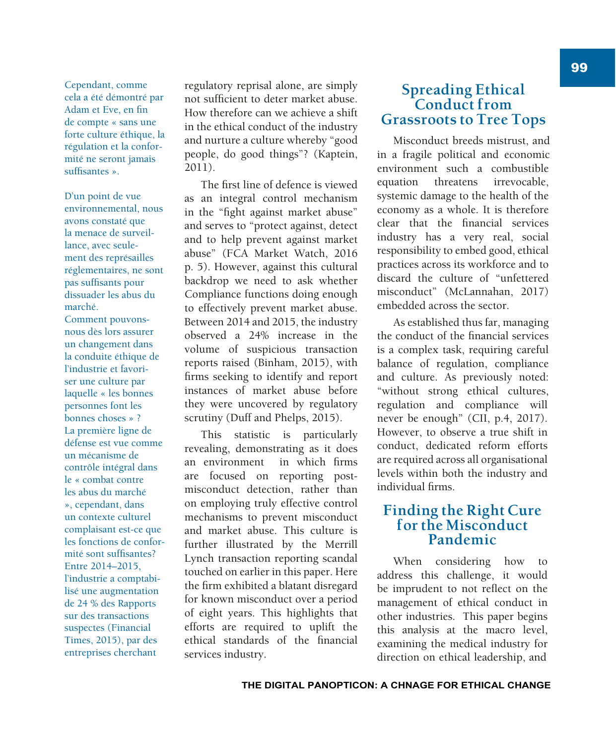Cependant, comme cela a été démontré par Adam et Eve. en fin de compte « sans une forte culture éthique, la régulation et la conformité ne seront jamais suffisantes ».

D'un point de vue environnemental, nous avons constaté que la menace de surveillance, avec seulement des représailles réglementaires, ne sont pas suffisants pour dissuader les abus du marché.

Comment pouvonsnous dès lors assurer un changement dans la conduite éthique de l'industrie et favoriser une culture par laquelle « les bonnes personnes font les bonnes choses » ? La première ligne de défense est vue comme un mécanisme de contrôle intégral dans le « combat contre les abus du marché », cependant, dans un contexte culturel complaisant est-ce que les fonctions de conformité sont suffisantes? Entre 2014–2015, l'industrie a comptabilisé une augmentation de 24 % des Rapports sur des transactions suspectes (Financial Times, 2015), par des entreprises cherchant

regulatory reprisal alone, are simply not sufficient to deter market abuse. How therefore can we achieve a shift in the ethical conduct of the industry and nurture a culture whereby "good people, do good things"? (Kaptein, 2011).

The first line of defence is viewed as an integral control mechanism in the "fight against market abuse" and serves to "protect against, detect and to help prevent against market abuse" (FCA Market Watch, 2016 p. 5). However, against this cultural backdrop we need to ask whether Compliance functions doing enough to effectively prevent market abuse. Between 2014 and 2015, the industry observed a 24% increase in the volume of suspicious transaction reports raised (Binham, 2015), with firms seeking to identify and report instances of market abuse before they were uncovered by regulatory scrutiny (Duff and Phelps, 2015).

This statistic is particularly revealing, demonstrating as it does an environment in which firms are focused on reporting postmisconduct detection, rather than on employing truly effective control mechanisms to prevent misconduct and market abuse. This culture is further illustrated by the Merrill Lynch transaction reporting scandal touched on earlier in this paper. Here the firm exhibited a blatant disregard for known misconduct over a period of eight years. This highlights that efforts are required to uplift the ethical standards of the financial services industry.

#### **Spreading Ethical Conduct from Grassroots to Tree Tops**

Misconduct breeds mistrust, and in a fragile political and economic environment such a combustible equation threatens irrevocable, systemic damage to the health of the economy as a whole. It is therefore clear that the financial services industry has a very real, social responsibility to embed good, ethical practices across its workforce and to discard the culture of "unfettered misconduct" (McLannahan, 2017) embedded across the sector.

As established thus far, managing the conduct of the financial services is a complex task, requiring careful balance of regulation, compliance and culture. As previously noted: "without strong ethical cultures, regulation and compliance will never be enough" (CII, p.4, 2017). However, to observe a true shift in conduct, dedicated reform efforts are required across all organisational levels within both the industry and individual firms

#### **Finding the Right Cure for the Misconduct Pandemic**

When considering how to address this challenge, it would be imprudent to not reflect on the management of ethical conduct in other industries. This paper begins this analysis at the macro level, examining the medical industry for direction on ethical leadership, and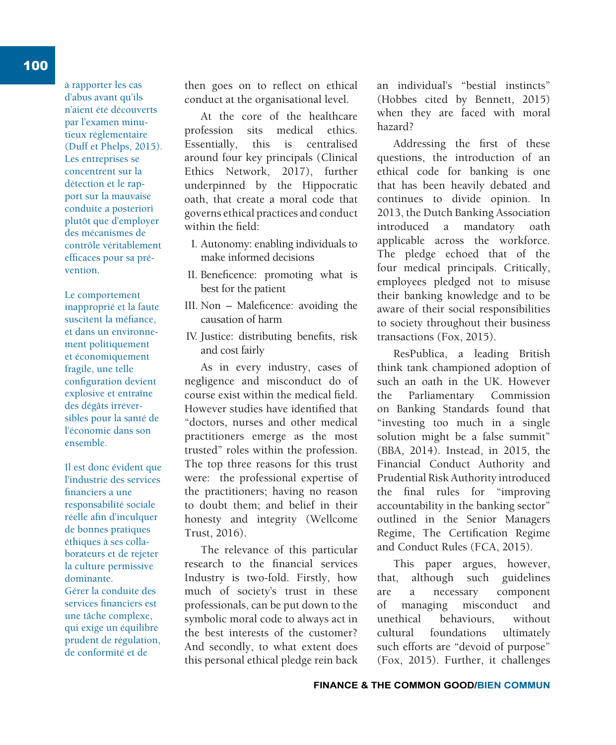à rapporter les cas d'abus avant qu'ils n'aient été découverts par l'examen minutieux réglementaire (Duff et Phelps, 2015). Les entreprises se concentrent sur la détection et le rapport sur la mauvaise conduite a posteriori plutôt que d'employer des mécanismes de contrôle véritablement efficaces pour sa prévention.

Le comportement inapproprié et la faute suscitent la méfiance. et dans un environnement politiquement et économiquement fragile, une telle configuration devient explosive et entraîne des dégâts irréversibles pour la santé de l'économie dans son ensemble.

Il est donc évident que l'industrie des services financiers a une responsabilité sociale réelle afin d'inculquer de bonnes pratiques éthiques à ses collaborateurs et de rejeter la culture permissive dominante. Gérer la conduite des services financiers est une tâche complexe, qui exige un équilibre prudent de régulation, de conformité et de

then goes on to reflect on ethical conduct at the organisational level.

At the core of the healthcare profession sits medical ethics. Essentially, this is centralised around four key principals (Clinical Ethics Network, 2017), further underpinned by the Hippocratic oath, that create a moral code that governs ethical practices and conduct within the field:

- I. Autonomy: enabling individuals to make informed decisions
- II. Beneficence: promoting what is best for the patient
- III. Non Maleficence: avoiding the causation of harm
- IV. Justice: distributing benefits, risk and cost fairly

As in every industry, cases of negligence and misconduct do of course exist within the medical field. However studies have identified that "doctors, nurses and other medical practitioners emerge as the most trusted" roles within the profession. The top three reasons for this trust were: the professional expertise of the practitioners; having no reason to doubt them; and belief in their honesty and integrity (Wellcome Trust, 2016).

The relevance of this particular research to the financial services Industry is two-fold. Firstly, how much of society's trust in these professionals, can be put down to the symbolic moral code to always act in the best interests of the customer? And secondly, to what extent does this personal ethical pledge rein back an individual's "bestial instincts" (Hobbes cited by Bennett, 2015) when they are faced with moral hazard?

Addressing the first of these questions, the introduction of an ethical code for banking is one that has been heavily debated and continues to divide opinion. In 2013, the Dutch Banking Association introduced a mandatory oath applicable across the workforce. The pledge echoed that of the four medical principals. Critically, employees pledged not to misuse their banking knowledge and to be aware of their social responsibilities to society throughout their business transactions (Fox, 2015).

ResPublica, a leading British think tank championed adoption of such an oath in the UK. However the Parliamentary Commission on Banking Standards found that "investing too much in a single solution might be a false summit" (BBA, 2014). Instead, in 2015, the Financial Conduct Authority and Prudential Risk Authority introduced the final rules for "improving accountability in the banking sector" outlined in the Senior Managers Regime, The Certification Regime and Conduct Rules (FCA, 2015).

This paper argues, however, that, although such guidelines are a necessary component of managing misconduct and unethical behaviours, without cultural foundations ultimately such efforts are "devoid of purpose" (Fox, 2015). Further, it challenges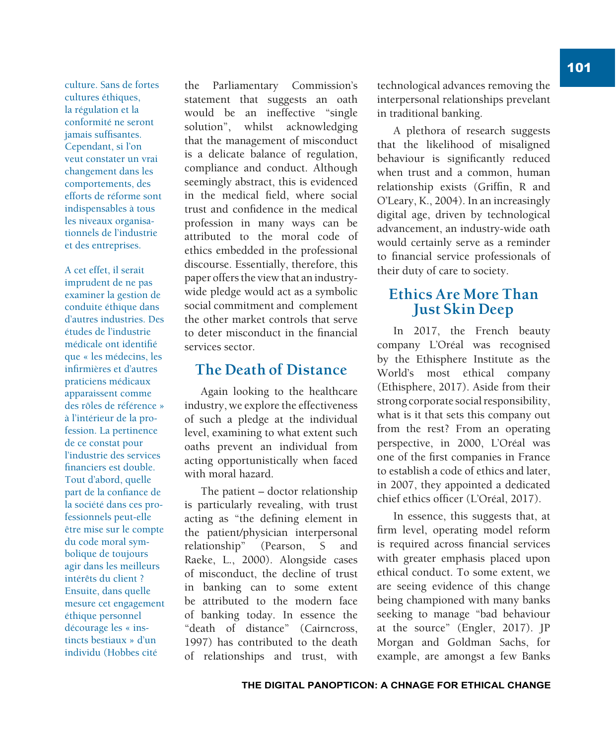culture. Sans de fortes cultures éthiques. la régulation et la conformité ne seront iamais suffisantes. Cependant, si l'on veut constater un vrai changement dans les comportements, des efforts de réforme sont indispensables à tous les niveaux organisationnels de l'industrie et des entreprises.

A cet effet, il serait imprudent de ne pas examiner la gestion de conduite éthique dans d'autres industries. Des études de l'industrie médicale ont identifié que « les médecins, les infirmières et d'autres praticiens médicaux apparaissent comme des rôles de référence » à l'intérieur de la profession. La pertinence de ce constat pour l'industrie des services financiers est double. Tout d'abord, quelle part de la confiance de la société dans ces professionnels peut-elle être mise sur le compte du code moral symbolique de toujours agir dans les meilleurs intérêts du client ? Ensuite, dans quelle mesure cet engagement éthique personnel décourage les « instincts bestiaux » d'un individu (Hobbes cité

the Parliamentary Commission's statement that suggests an oath would be an ineffective "single solution", whilst acknowledging that the management of misconduct is a delicate balance of regulation, compliance and conduct. Although seemingly abstract, this is evidenced in the medical field, where social trust and confidence in the medical profession in many ways can be attributed to the moral code of ethics embedded in the professional discourse. Essentially, therefore, this paper offers the view that an industrywide pledge would act as a symbolic social commitment and complement the other market controls that serve to deter misconduct in the financial services sector.

#### **The Death of Distance**

Again looking to the healthcare industry, we explore the effectiveness of such a pledge at the individual level, examining to what extent such oaths prevent an individual from acting opportunistically when faced with moral hazard.

The patient – doctor relationship is particularly revealing, with trust acting as "the defining element in the patient/physician interpersonal relationship" (Pearson, S and Raeke, L., 2000). Alongside cases of misconduct, the decline of trust in banking can to some extent be attributed to the modern face of banking today. In essence the "death of distance" (Cairncross, 1997) has contributed to the death of relationships and trust, with technological advances removing the interpersonal relationships prevelant in traditional banking.

A plethora of research suggests that the likelihood of misaligned behaviour is significantly reduced when trust and a common, human relationship exists (Griffin, R and O'Leary, K., 2004). In an increasingly digital age, driven by technological advancement, an industry-wide oath would certainly serve as a reminder to financial service professionals of their duty of care to society.

#### **Ethics Are More Than Just Skin Deep**

In 2017, the French beauty company L'Oréal was recognised by the Ethisphere Institute as the World's most ethical company (Ethisphere, 2017). Aside from their strong corporate social responsibility, what is it that sets this company out from the rest? From an operating perspective, in 2000, L'Oréal was one of the first companies in France to establish a code of ethics and later, in 2007, they appointed a dedicated chief ethics officer (L'Oréal, 2017).

In essence, this suggests that, at firm level, operating model reform is required across financial services with greater emphasis placed upon ethical conduct. To some extent, we are seeing evidence of this change being championed with many banks seeking to manage "bad behaviour at the source" (Engler, 2017). JP Morgan and Goldman Sachs, for example, are amongst a few Banks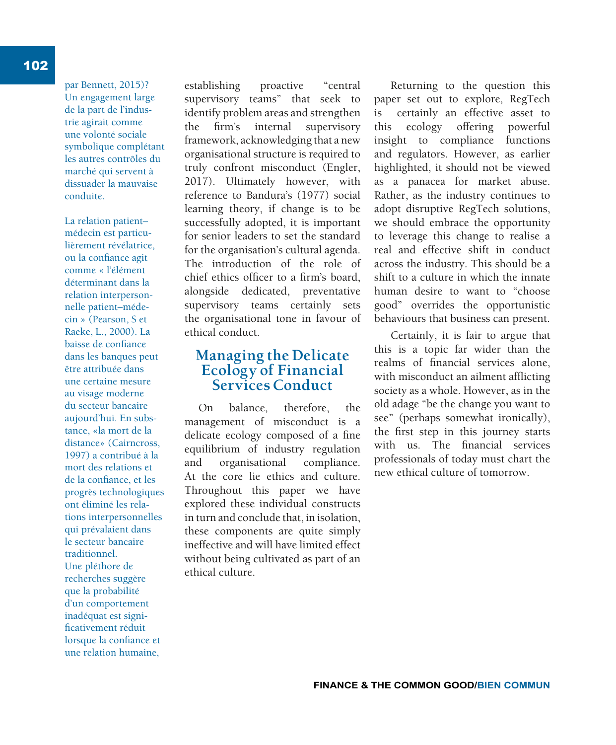par Bennett, 2015)? Un engagement large de la part de l'industrie agirait comme une volonté sociale symbolique complétant les autres contrôles du marché qui servent à dissuader la mauvaise conduite.

La relation patient– médecin est particulièrement révélatrice, ou la confiance agit comme « l'élément déterminant dans la relation interpersonnelle patient–médecin » (Pearson, S et Raeke, L., 2000). La baisse de confiance dans les banques peut être attribuée dans une certaine mesure au visage moderne du secteur bancaire aujourd'hui. En substance, «la mort de la distance» (Cairncross, 1997) a contribué à la mort des relations et de la confiance, et les progrès technologiques ont éliminé les relations interpersonnelles qui prévalaient dans le secteur bancaire traditionnel. Une pléthore de recherches suggère que la probabilité d'un comportement inadéquat est significativement réduit lorsque la confiance et une relation humaine,

establishing proactive "central supervisory teams" that seek to identify problem areas and strengthen the firm's internal supervisory framework, acknowledging that a new organisational structure is required to truly confront misconduct (Engler, 2017). Ultimately however, with reference to Bandura's (1977) social learning theory, if change is to be successfully adopted, it is important for senior leaders to set the standard for the organisation's cultural agenda. The introduction of the role of chief ethics officer to a firm's board. alongside dedicated, preventative supervisory teams certainly sets the organisational tone in favour of ethical conduct.

#### **Managing the Delicate Ecology of Financial Services Conduct**

On balance, therefore, the management of misconduct is a delicate ecology composed of a fine equilibrium of industry regulation and organisational compliance. At the core lie ethics and culture. Throughout this paper we have explored these individual constructs in turn and conclude that, in isolation, these components are quite simply ineffective and will have limited effect without being cultivated as part of an ethical culture.

Returning to the question this paper set out to explore, RegTech is certainly an effective asset to this ecology offering powerful insight to compliance functions and regulators. However, as earlier highlighted, it should not be viewed as a panacea for market abuse. Rather, as the industry continues to adopt disruptive RegTech solutions, we should embrace the opportunity to leverage this change to realise a real and effective shift in conduct across the industry. This should be a shift to a culture in which the innate human desire to want to "choose good" overrides the opportunistic behaviours that business can present.

Certainly, it is fair to argue that this is a topic far wider than the realms of financial services alone. with misconduct an ailment afflicting society as a whole. However, as in the old adage "be the change you want to see" (perhaps somewhat ironically), the first step in this journey starts with us. The financial services professionals of today must chart the new ethical culture of tomorrow.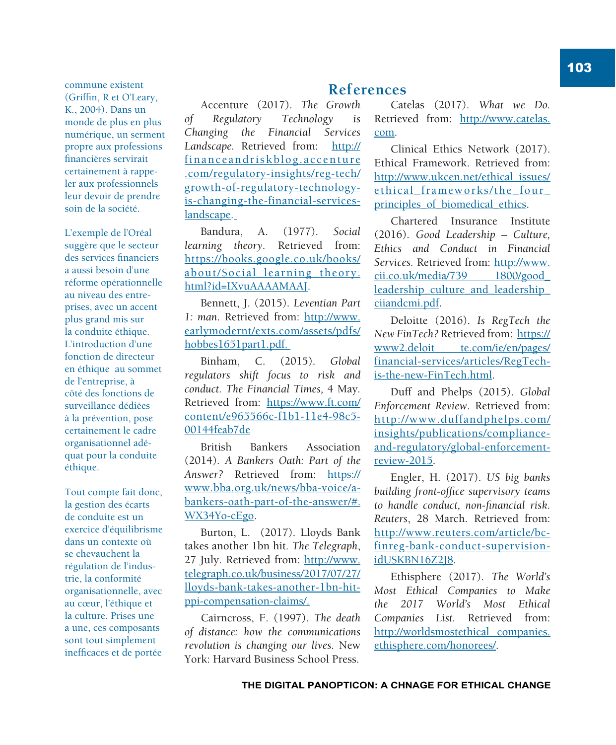commune existent (Griffin, R et O'Leary, K., 2004). Dans un monde de plus en plus numérique, un serment propre aux professions financières servirait certainement à rappeler aux professionnels leur devoir de prendre soin de la société.

L'exemple de l'Oréal suggère que le secteur des services financiers a aussi besoin d'une réforme opérationnelle au niveau des entreprises, avec un accent plus grand mis sur la conduite éthique. L'introduction d'une fonction de directeur en éthique au sommet de l'entreprise, à côté des fonctions de surveillance dédiées à la prévention, pose certainement le cadre organisationnel adéquat pour la conduite éthique.

Tout compte fait donc, la gestion des écarts de conduite est un exercice d'équilibrisme dans un contexte où se chevauchent la régulation de l'industrie, la conformité organisationnelle, avec au cœur, l'éthique et la culture. Prises une a une, ces composants sont tout simplement inefficaces et de portée

#### **References**

Accenture (2017). *The Growth of Regulatory Technology is Changing the Financial Services Landscape.* Retrieved from: http:// financeandriskblog.accenture .com/regulatory-insights/reg-tech/ growth-of-regulatory-technologyis-changing-the-financial-serviceslandscape.

Bandura, A. (1977). *Social learning theory.* Retrieved from: https://books.google.co.uk/books/ about/Social learning theory. html?id=IXvuAAAAMAAJ.

Bennett, J. (2015). *Leventian Part 1: man*. Retrieved from: http://www. earlymodernt/exts.com/assets/pdfs/ hobbes1651part1.pdf.

Binham, C. (2015). *Global regulators shift focus to risk and conduct. The Financial Times,* 4 May*.*  Retrieved from: https://www.ft.com/ content/e965566c-f1b1-11e4-98c5- 00144feab7de

British Bankers Association (2014). *A Bankers Oath: Part of the Answer?* Retrieved from: https:// www.bba.org.uk/news/bba-voice/abankers-oath-part-of-the-answer/#. WX34Yo-cEgo.

Burton, L. (2017). Lloyds Bank takes another 1bn hit*. The Telegraph*, 27 July. Retrieved from: http://www. telegraph.co.uk/business/2017/07/27/ lloyds-bank-takes-another-1bn-hitppi-compensation-claims/.

Cairncross, F. (1997). *The death of distance: how the communications revolution is changing our lives.* New York: Harvard Business School Press.

Catelas (2017). *What we Do.* Retrieved from: http://www.catelas. com.

Clinical Ethics Network (2017). Ethical Framework. Retrieved from: http://www.ukcen.net/ethical\_issues/ ethical\_frameworks/the\_four\_ principles of biomedical ethics.

Chartered Insurance Institute (2016). *Good Leadership – Culture, Ethics and Conduct in Financial Services.* Retrieved from: http://www. cii.co.uk/media/739 1800/good\_ leadership\_culture\_and\_leadership\_ ciiandcmi.pdf.

Deloitte (2016). *Is RegTech the New FinTech?* Retrieved from: https:// www2.deloit te.com/ie/en/pages/ financial-services/articles/RegTechis-the-new-FinTech.html.

Duff and Phelps (2015). *Global Enforcement Review*. Retrieved from: http://www.duffandphelps.com/ insights/publications/complianceand-regulatory/global-enforcementreview-2015.

Engler, H. (2017). *US big banks building front-office supervisory teams*  $to$  handle conduct, non-financial risk. *Reuters*, 28 March. Retrieved from: http://www.reuters.com/article/bcfinreg-bank-conduct-supervisionidUSKBN16Z2J8.

Ethisphere (2017). *The World's Most Ethical Companies to Make the 2017 World's Most Ethical Companies List.* Retrieved from: http://worldsmostethical companies. ethisphere.com/honorees/.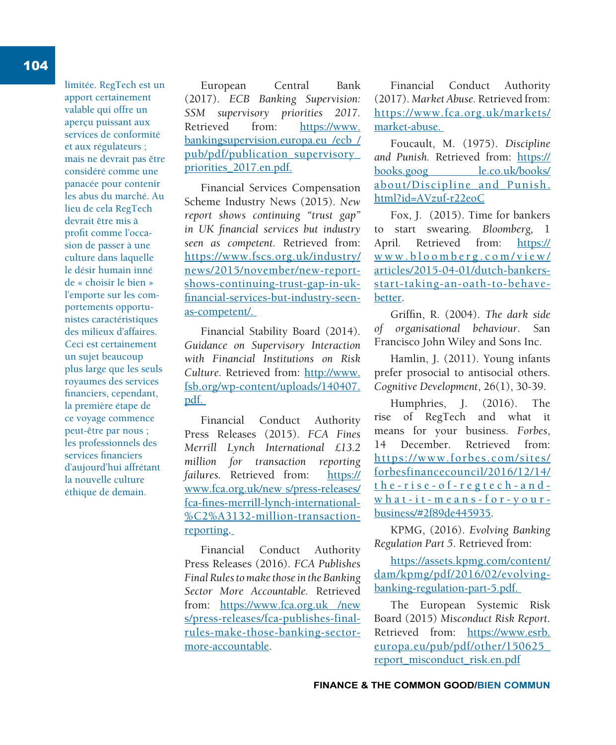limitée. RegTech est un apport certainement valable qui offre un aperçu puissant aux services de conformité et aux régulateurs ; mais ne devrait pas être considéré comme une panacée pour contenir les abus du marché. Au lieu de cela RegTech devrait être mis à profit comme l'occasion de passer à une culture dans laquelle le désir humain inné de « choisir le bien » l'emporte sur les comportements opportunistes caractéristiques des milieux d'affaires. Ceci est certainement un sujet beaucoup plus large que les seuls royaumes des services financiers, cependant, la première étape de ce voyage commence peut-être par nous ; les professionnels des services financiers d'aujourd'hui affrétant la nouvelle culture éthique de demain.

European Central Bank (2017). *ECB Banking Supervision: SSM supervisory priorities 2017.* Retrieved from: https://www. bankingsupervision.europa.eu /ecb / pub/pdf/publication\_supervisory\_ priorities\_2017.en.pdf.

Financial Services Compensation Scheme Industry News (2015). *New report shows continuing "trust gap"*  in UK financial services but industry *seen as competent.* Retrieved from: https://www.fscs.org.uk/industry/ news/2015/november/new-reportshows-continuing-trust-gap-in-ukfinancial-services-but-industry-seenas-competent/.

Financial Stability Board (2014). *Guidance on Supervisory Interaction with Financial Institutions on Risk Culture.* Retrieved from: http://www. fsb.org/wp-content/uploads/140407. pdf.

Financial Conduct Authority Press Releases (2015). *FCA Fines Merrill Lynch International £13.2 million for transaction reporting failures.* Retrieved from: https:// www.fca.org.uk/new s/press-releases/ fca-fines-merrill-lynch-international-%C2%A3132-million-transactionreporting.

Financial Conduct Authority Press Releases (2016). *FCA Publishes Final Rules to make those in the Banking Sector More Accountable.* Retrieved from: https://www.fca.org.uk /new s/press-releases/fca-publishes-finalrules-make-those-banking-sectormore-accountable.

Financial Conduct Authority (2017). *Market Abuse.* Retrieved from: https://www.fca.org.uk/markets/ market-abuse.

Foucault, M. (1975). *Discipline and Punish.* Retrieved from: https:// books.goog le.co.uk/books/ about/Discipline\_and\_Punish. html?id=AVzuf-r22eoC

Fox, J. (2015). Time for bankers to start swearing*. Bloomberg,* 1 April*.* Retrieved from: https:// w w w . b l o o m b e r g . c o m / v i e w / articles/2015-04-01/dutch-bankersstart-taking-an-oath-to-behavebetter.

Griffin, R. (2004). The dark side *of organisational behaviour*. San Francisco John Wiley and Sons Inc.

Hamlin, J. (2011). Young infants prefer prosocial to antisocial others. *Cognitive Development*, 26(1), 30-39.

Humphries, J. (2016). The rise of RegTech and what it means for your business. *Forbes*, 14 December. Retrieved from: https://www.forbes.com/sites/ forbesfinancecouncil/2016/12/14/ t h e - r i s e - o f - r e g t e c h - a n d w h a t - i t - m e a n s - f o r - y o u r business/#2f89de445935.

KPMG, (2016). *Evolving Banking Regulation Part 5*. Retrieved from:

https://assets.kpmg.com/content/ dam/kpmg/pdf/2016/02/evolvingbanking-regulation-part-5.pdf.

The European Systemic Risk Board (2015) *Misconduct Risk Report*. Retrieved from: https://www.esrb. europa.eu/pub/pdf/other/150625\_ report\_misconduct\_risk.en.pdf